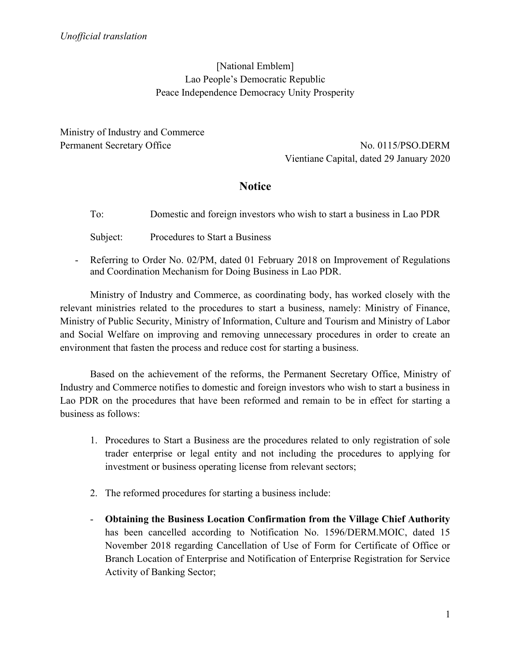## [National Emblem] Lao People's Democratic Republic Peace Independence Democracy Unity Prosperity

Ministry of Industry and Commerce

Permanent Secretary Office No. 0115/PSO.DERM Vientiane Capital, dated 29 January 2020

## **Notice**

| To:      | Domestic and foreign investors who wish to start a business in Lao PDR |
|----------|------------------------------------------------------------------------|
| Subject: | Procedures to Start a Business                                         |

- Referring to Order No. 02/PM, dated 01 February 2018 on Improvement of Regulations and Coordination Mechanism for Doing Business in Lao PDR.

Ministry of Industry and Commerce, as coordinating body, has worked closely with the relevant ministries related to the procedures to start a business, namely: Ministry of Finance, Ministry of Public Security, Ministry of Information, Culture and Tourism and Ministry of Labor and Social Welfare on improving and removing unnecessary procedures in order to create an environment that fasten the process and reduce cost for starting a business.

Based on the achievement of the reforms, the Permanent Secretary Office, Ministry of Industry and Commerce notifies to domestic and foreign investors who wish to start a business in Lao PDR on the procedures that have been reformed and remain to be in effect for starting a business as follows:

- 1. Procedures to Start a Business are the procedures related to only registration of sole trader enterprise or legal entity and not including the procedures to applying for investment or business operating license from relevant sectors;
- 2. The reformed procedures for starting a business include:
- Obtaining the Business Location Confirmation from the Village Chief Authority has been cancelled according to Notification No. 1596/DERM.MOIC, dated 15 November 2018 regarding Cancellation of Use of Form for Certificate of Office or Branch Location of Enterprise and Notification of Enterprise Registration for Service Activity of Banking Sector;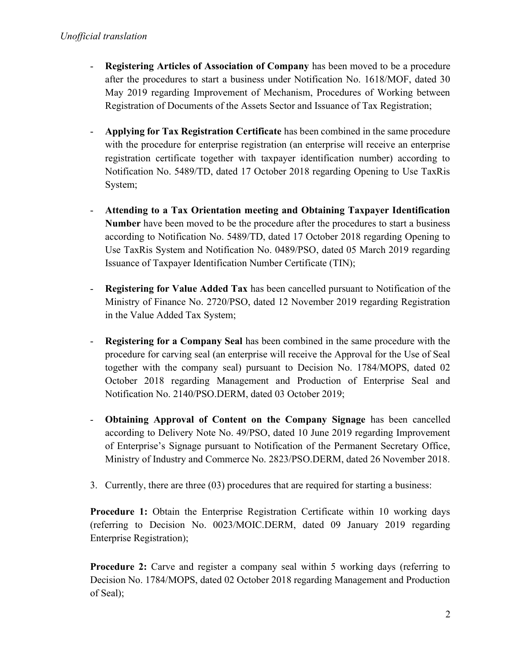## Unofficial translation

- Registering Articles of Association of Company has been moved to be a procedure after the procedures to start a business under Notification No. 1618/MOF, dated 30 May 2019 regarding Improvement of Mechanism, Procedures of Working between Registration of Documents of the Assets Sector and Issuance of Tax Registration;
- Applying for Tax Registration Certificate has been combined in the same procedure with the procedure for enterprise registration (an enterprise will receive an enterprise registration certificate together with taxpayer identification number) according to Notification No. 5489/TD, dated 17 October 2018 regarding Opening to Use TaxRis System;
- Attending to a Tax Orientation meeting and Obtaining Taxpayer Identification Number have been moved to be the procedure after the procedures to start a business according to Notification No. 5489/TD, dated 17 October 2018 regarding Opening to Use TaxRis System and Notification No. 0489/PSO, dated 05 March 2019 regarding Issuance of Taxpayer Identification Number Certificate (TIN);
- Registering for Value Added Tax has been cancelled pursuant to Notification of the Ministry of Finance No. 2720/PSO, dated 12 November 2019 regarding Registration in the Value Added Tax System;
- Registering for a Company Seal has been combined in the same procedure with the procedure for carving seal (an enterprise will receive the Approval for the Use of Seal together with the company seal) pursuant to Decision No. 1784/MOPS, dated 02 October 2018 regarding Management and Production of Enterprise Seal and Notification No. 2140/PSO.DERM, dated 03 October 2019;
- Obtaining Approval of Content on the Company Signage has been cancelled according to Delivery Note No. 49/PSO, dated 10 June 2019 regarding Improvement of Enterprise's Signage pursuant to Notification of the Permanent Secretary Office, Ministry of Industry and Commerce No. 2823/PSO.DERM, dated 26 November 2018.
- 3. Currently, there are three (03) procedures that are required for starting a business:

Procedure 1: Obtain the Enterprise Registration Certificate within 10 working days (referring to Decision No. 0023/MOIC.DERM, dated 09 January 2019 regarding Enterprise Registration);

**Procedure 2:** Carve and register a company seal within 5 working days (referring to Decision No. 1784/MOPS, dated 02 October 2018 regarding Management and Production of Seal);